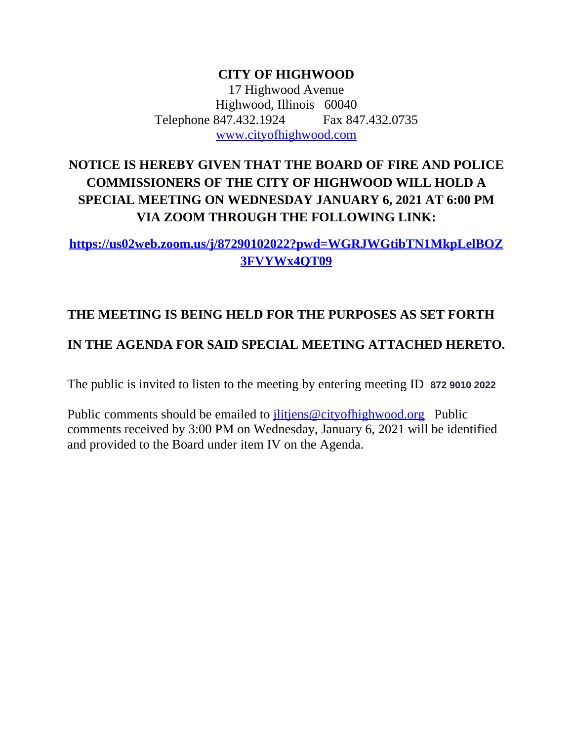**CITY OF HIGHWOOD** 17 Highwood Avenue Highwood, Illinois 60040 Telephone 847.432.1924 Fax 847.432.0735 [www.cityofhighwood.com](http://www.cityofhighwood.com)

# **NOTICE IS HEREBY GIVEN THAT THE BOARD OF FIRE AND POLICE COMMISSIONERS OF THE CITY OF HIGHWOOD WILL HOLD A SPECIAL MEETING ON WEDNESDAY JANUARY 6, 2021 AT 6:00 PM VIA ZOOM THROUGH THE FOLLOWING LINK:**

## **[https://us02web.zoom.us/j/87290102022?pwd=WGRJWGtibTN1MkpLelBOZ](https://us02web.zoom.us/j/87290102022?pwd=WGRJWGtibTN1MkpLelBOZ3FVYWx4QT09) 3FVYWx4QT09**

## **THE MEETING IS BEING HELD FOR THE PURPOSES AS SET FORTH**

## **IN THE AGENDA FOR SAID SPECIAL MEETING ATTACHED HERETO.**

The public is invited to listen to the meeting by entering meeting ID **872 9010 2022**

Public comments should be emailed to *ilitiens@cityofhighwood.org* Public comments received by 3:00 PM on Wednesday, January 6, 2021 will be identified and provided to the Board under item IV on the Agenda.